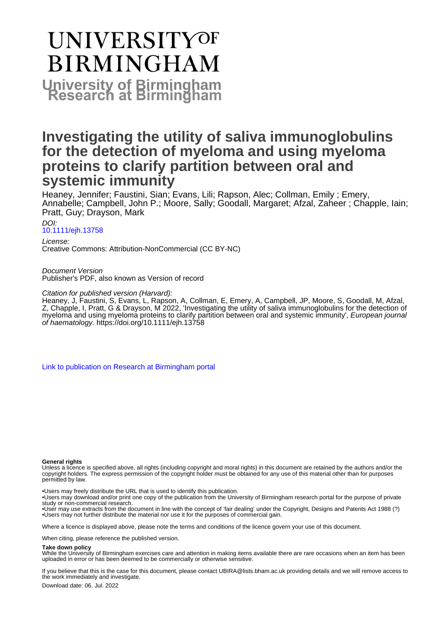# **UNIVERSITYOF BIRMINGHAM University of Birmingham**

### **Investigating the utility of saliva immunoglobulins for the detection of myeloma and using myeloma proteins to clarify partition between oral and systemic immunity**

Heaney, Jennifer; Faustini, Sian; Evans, Lili; Rapson, Alec; Collman, Emily ; Emery, Annabelle; Campbell, John P.; Moore, Sally; Goodall, Margaret; Afzal, Zaheer ; Chapple, Iain; Pratt, Guy; Drayson, Mark

#### DOI: [10.1111/ejh.13758](https://doi.org/10.1111/ejh.13758)

License: Creative Commons: Attribution-NonCommercial (CC BY-NC)

Document Version Publisher's PDF, also known as Version of record

#### Citation for published version (Harvard):

Heaney, J, Faustini, S, Evans, L, Rapson, A, Collman, E, Emery, A, Campbell, JP, Moore, S, Goodall, M, Afzal, Z, Chapple, I, Pratt, G & Drayson, M 2022, 'Investigating the utility of saliva immunoglobulins for the detection of myeloma and using myeloma proteins to clarify partition between oral and systemic immunity', European journal of haematology. <https://doi.org/10.1111/ejh.13758>

[Link to publication on Research at Birmingham portal](https://birmingham.elsevierpure.com/en/publications/efaa8118-be68-4c96-bd94-f9bb0072e46a)

#### **General rights**

Unless a licence is specified above, all rights (including copyright and moral rights) in this document are retained by the authors and/or the copyright holders. The express permission of the copyright holder must be obtained for any use of this material other than for purposes permitted by law.

• Users may freely distribute the URL that is used to identify this publication.

• Users may download and/or print one copy of the publication from the University of Birmingham research portal for the purpose of private study or non-commercial research.

• User may use extracts from the document in line with the concept of 'fair dealing' under the Copyright, Designs and Patents Act 1988 (?) • Users may not further distribute the material nor use it for the purposes of commercial gain.

Where a licence is displayed above, please note the terms and conditions of the licence govern your use of this document.

When citing, please reference the published version.

#### **Take down policy**

While the University of Birmingham exercises care and attention in making items available there are rare occasions when an item has been uploaded in error or has been deemed to be commercially or otherwise sensitive.

If you believe that this is the case for this document, please contact UBIRA@lists.bham.ac.uk providing details and we will remove access to the work immediately and investigate.

Download date: 06. Jul. 2022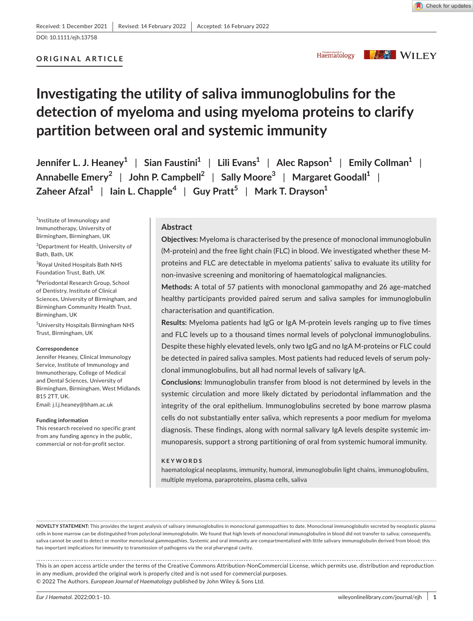**ORIGINAL ARTICLE**

Check for updates

#### Haematology

**KAS WILEY** 

## **Investigating the utility of saliva immunoglobulins for the detection of myeloma and using myeloma proteins to clarify partition between oral and systemic immunity**

**Jennifer L. J. Heaney1** | **Sian Faustini1** | **Lili Evans1** | **Alec Rapson1** | **Emily Collman1** | **Annabelle Emery<sup>2</sup>** | **John P. Campbell2** | **Sally Moore3** | **Margaret Goodall1** | **Zaheer Afzal1** | **Iain L. Chapple<sup>4</sup>** | **Guy Pratt<sup>5</sup>** | **Mark T. Drayson1**

1 Institute of Immunology and Immunotherapy, University of Birmingham, Birmingham, UK

2 Department for Health, University of Bath, Bath, UK

3 Royal United Hospitals Bath NHS Foundation Trust, Bath, UK

4 Periodontal Research Group, School of Dentistry, Institute of Clinical Sciences, University of Birmingham, and Birmingham Community Health Trust, Birmingham, UK

5 University Hospitals Birmingham NHS Trust, Birmingham, UK

#### **Correspondence**

Jennifer Heaney, Clinical Immunology Service, Institute of Immunology and Immunotherapy, College of Medical and Dental Sciences, University of Birmingham, Birmingham, West Midlands B15 2TT, UK.

Email: [j.l.j.heaney@bham.ac.uk](mailto:j.l.j.heaney@bham.ac.uk)

#### **Funding information**

This research received no specific grant from any funding agency in the public, commercial or not-for-profit sector.

#### **Abstract**

**Objectives:** Myeloma is characterised by the presence of monoclonal immunoglobulin (M-protein) and the free light chain (FLC) in blood. We investigated whether these Mproteins and FLC are detectable in myeloma patients' saliva to evaluate its utility for non-invasive screening and monitoring of haematological malignancies.

**Methods:** A total of 57 patients with monoclonal gammopathy and 26 age-matched healthy participants provided paired serum and saliva samples for immunoglobulin characterisation and quantification.

**Results:** Myeloma patients had IgG or IgA M-protein levels ranging up to five times and FLC levels up to a thousand times normal levels of polyclonal immunoglobulins. Despite these highly elevated levels, only two IgG and no IgA M-proteins or FLC could be detected in paired saliva samples. Most patients had reduced levels of serum polyclonal immunoglobulins, but all had normal levels of salivary IgA.

**Conclusions:** Immunoglobulin transfer from blood is not determined by levels in the systemic circulation and more likely dictated by periodontal inflammation and the integrity of the oral epithelium. Immunoglobulins secreted by bone marrow plasma cells do not substantially enter saliva, which represents a poor medium for myeloma diagnosis. These findings, along with normal salivary IgA levels despite systemic immunoparesis, support a strong partitioning of oral from systemic humoral immunity.

#### **KEYWORDS**

haematological neoplasms, immunity, humoral, immunoglobulin light chains, immunoglobulins, multiple myeloma, paraproteins, plasma cells, saliva

**NOVELTY STATEMENT:** This provides the largest analysis of salivary immunoglobulins in monoclonal gammopathies to date. Monoclonal immunoglobulin secreted by neoplastic plasma cells in bone marrow can be distinguished from polyclonal immunoglobulin. We found that high levels of monoclonal immunoglobulins in blood did not transfer to saliva; consequently, saliva cannot be used to detect or monitor monoclonal gammopathies. Systemic and oral immunity are compartmentalised with little salivary immunoglobulin derived from blood; this has important implications for immunity to transmission of pathogens via the oral pharyngeal cavity.

This is an open access article under the terms of the [Creative Commons Attribution-NonCommercial](http://creativecommons.org/licenses/by-nc/4.0/) License, which permits use, distribution and reproduction in any medium, provided the original work is properly cited and is not used for commercial purposes. © 2022 The Authors. *European Journal of Haematology* published by John Wiley & Sons Ltd.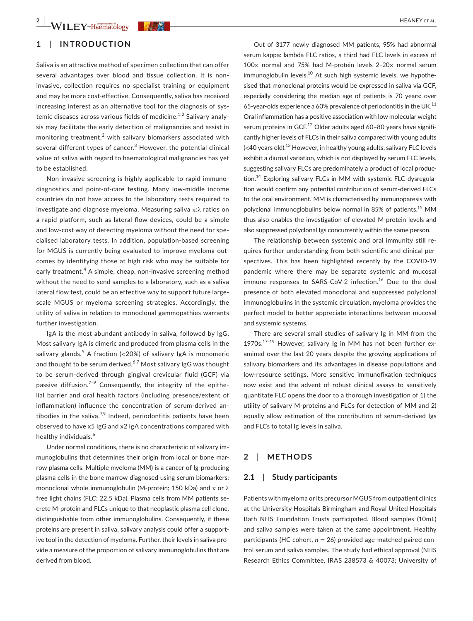#### **1**  | **INTRODUCTION**

Saliva is an attractive method of specimen collection that can offer several advantages over blood and tissue collection. It is noninvasive, collection requires no specialist training or equipment and may be more cost-effective. Consequently, saliva has received increasing interest as an alternative tool for the diagnosis of systemic diseases across various fields of medicine.<sup>1,2</sup> Salivary analysis may facilitate the early detection of malignancies and assist in monitoring treatment, $2$  with salivary biomarkers associated with several different types of cancer.<sup>3</sup> However, the potential clinical value of saliva with regard to haematological malignancies has yet to be established.

Non-invasive screening is highly applicable to rapid immunodiagnostics and point-of-care testing. Many low-middle income countries do not have access to the laboratory tests required to investigate and diagnose myeloma. Measuring saliva κ:λ ratios on a rapid platform, such as lateral flow devices, could be a simple and low-cost way of detecting myeloma without the need for specialised laboratory tests. In addition, population-based screening for MGUS is currently being evaluated to improve myeloma outcomes by identifying those at high risk who may be suitable for early treatment.<sup>4</sup> A simple, cheap, non-invasive screening method without the need to send samples to a laboratory, such as a saliva lateral flow test, could be an effective way to support future largescale MGUS or myeloma screening strategies. Accordingly, the utility of saliva in relation to monoclonal gammopathies warrants further investigation.

IgA is the most abundant antibody in saliva, followed by IgG. Most salivary IgA is dimeric and produced from plasma cells in the salivary glands.<sup>5</sup> A fraction (<20%) of salivary IgA is monomeric and thought to be serum derived.<sup>6,7</sup> Most salivary IgG was thought to be serum-derived through gingival crevicular fluid (GCF) via passive diffusion.<sup>7-9</sup> Consequently, the integrity of the epithelial barrier and oral health factors (including presence/extent of inflammation) influence the concentration of serum-derived antibodies in the saliva.<sup>7,9</sup> Indeed, periodontitis patients have been observed to have x5 IgG and x2 IgA concentrations compared with healthy individuals.<sup>6</sup>

Under normal conditions, there is no characteristic of salivary immunoglobulins that determines their origin from local or bone marrow plasma cells. Multiple myeloma (MM) is a cancer of Ig-producing plasma cells in the bone marrow diagnosed using serum biomarkers: monoclonal whole immunoglobulin (M-protein; 150 kDa) and κ or λ free light chains (FLC; 22.5 kDa). Plasma cells from MM patients secrete M-protein and FLCs unique to that neoplastic plasma cell clone, distinguishable from other immunoglobulins. Consequently, if these proteins are present in saliva, salivary analysis could offer a supportive tool in the detection of myeloma. Further, their levels in saliva provide a measure of the proportion of salivary immunoglobulins that are derived from blood.

Out of 3177 newly diagnosed MM patients, 95% had abnormal serum kappa: lambda FLC ratios, a third had FLC levels in excess of 100 $\times$  normal and 75% had M-protein levels 2-20 $\times$  normal serum immunoglobulin levels.<sup>10</sup> At such high systemic levels, we hypothesised that monoclonal proteins would be expressed in saliva via GCF, especially considering the median age of patients is 70 years: over 65-year-olds experience a 60% prevalence of periodontitis in the UK. $^{11}$ Oral inflammation has a positive association with low molecular weight serum proteins in GCF.<sup>12</sup> Older adults aged 60-80 years have significantly higher levels of FLCs in their saliva compared with young adults  $\leq$  40 years old).<sup>13</sup> However, in healthy young adults, salivary FLC levels exhibit a diurnal variation, which is not displayed by serum FLC levels, suggesting salivary FLCs are predominately a product of local production.<sup>14</sup> Exploring salivary FLCs in MM with systemic FLC dysregulation would confirm any potential contribution of serum-derived FLCs to the oral environment. MM is characterised by immunoparesis with polyclonal immunoglobulins below normal in 85% of patients.<sup>15</sup> MM thus also enables the investigation of elevated M-protein levels and also suppressed polyclonal Igs concurrently within the same person.

The relationship between systemic and oral immunity still requires further understanding from both scientific and clinical perspectives. This has been highlighted recently by the COVID-19 pandemic where there may be separate systemic and mucosal immune responses to SARS-CoV-2 infection.<sup>16</sup> Due to the dual presence of both elevated monoclonal and suppressed polyclonal immunoglobulins in the systemic circulation, myeloma provides the perfect model to better appreciate interactions between mucosal and systemic systems.

There are several small studies of salivary Ig in MM from the 1970s.<sup>17-19</sup> However, salivary Ig in MM has not been further examined over the last 20 years despite the growing applications of salivary biomarkers and its advantages in disease populations and low-resource settings. More sensitive immunofixation techniques now exist and the advent of robust clinical assays to sensitively quantitate FLC opens the door to a thorough investigation of 1) the utility of salivary M-proteins and FLCs for detection of MM and 2) equally allow estimation of the contribution of serum-derived Igs and FLCs to total Ig levels in saliva.

#### **2**  | **METHODS**

#### **2.1**  | **Study participants**

Patients with myeloma or its precursor MGUS from outpatient clinics at the University Hospitals Birmingham and Royal United Hospitals Bath NHS Foundation Trusts participated. Blood samples (10mL) and saliva samples were taken at the same appointment. Healthy participants (HC cohort, *n* = 26) provided age-matched paired control serum and saliva samples. The study had ethical approval (NHS Research Ethics Committee, IRAS 238573 & 40073; University of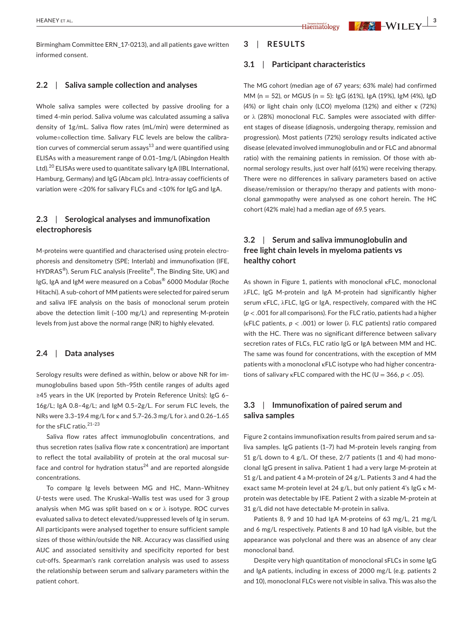#### **2.2**  | **Saliva sample collection and analyses**

Whole saliva samples were collected by passive drooling for a timed 4-min period. Saliva volume was calculated assuming a saliva density of 1g/mL. Saliva flow rates (mL/min) were determined as volume÷collection time. Salivary FLC levels are below the calibration curves of commercial serum assays $^{13}$  and were quantified using ELISAs with a measurement range of 0.01–1mg/L (Abingdon Health Ltd).<sup>20</sup> ELISAs were used to quantitate salivary IgA (IBL International, Hamburg, Germany) and IgG (Abcam plc). Intra-assay coefficients of variation were <20% for salivary FLCs and <10% for IgG and IgA.

#### **2.3**  | **Serological analyses and immunofixation electrophoresis**

M-proteins were quantified and characterised using protein electrophoresis and densitometry (SPE; Interlab) and immunofixation (IFE, HYDRAS<sup>®</sup>). Serum FLC analysis (Freelite<sup>®</sup>, The Binding Site, UK) and IgG, IgA and IgM were measured on a Cobas® 6000 Modular (Roche Hitachi). A sub-cohort of MM patients were selected for paired serum and saliva IFE analysis on the basis of monoclonal serum protein above the detection limit (~100 mg/L) and representing M-protein levels from just above the normal range (NR) to highly elevated.

#### **2.4**  | **Data analyses**

Serology results were defined as within, below or above NR for immunoglobulins based upon 5th–95th centile ranges of adults aged ≥45 years in the UK (reported by Protein Reference Units): IgG 6– 16g/L; IgA 0.8–4g/L; and IgM 0.5–2g/L. For serum FLC levels, the NRs were 3.3–19.4 mg/L for κ and 5.7–26.3 mg/L for λ and 0.26–1.65 for the sFLC ratio.<sup>21-23</sup>

Saliva flow rates affect immunoglobulin concentrations, and thus secretion rates (saliva flow rate x concentration) are important to reflect the total availability of protein at the oral mucosal surface and control for hydration status<sup>24</sup> and are reported alongside concentrations.

To compare Ig levels between MG and HC, Mann–Whitney *U*-tests were used. The Kruskal–Wallis test was used for 3 group analysis when MG was split based on  $\kappa$  or  $\lambda$  isotype. ROC curves evaluated saliva to detect elevated/suppressed levels of Ig in serum. All participants were analysed together to ensure sufficient sample sizes of those within/outside the NR. Accuracy was classified using AUC and associated sensitivity and specificity reported for best cut-offs. Spearman's rank correlation analysis was used to assess the relationship between serum and salivary parameters within the patient cohort.

#### **3**  | **RESULTS**

#### **3.1**  | **Participant characteristics**

The MG cohort (median age of 67 years; 63% male) had confirmed MM (n = 52), or MGUS (n = 5): IgG (61%), IgA (19%), IgM (4%), IgD (4%) or light chain only (LCO) myeloma (12%) and either κ (72%) or λ (28%) monoclonal FLC. Samples were associated with different stages of disease (diagnosis, undergoing therapy, remission and progression). Most patients (72%) serology results indicated active disease (elevated involved immunoglobulin and or FLC and abnormal ratio) with the remaining patients in remission. Of those with abnormal serology results, just over half (61%) were receiving therapy. There were no differences in salivary parameters based on active disease/remission or therapy/no therapy and patients with monoclonal gammopathy were analysed as one cohort herein. The HC cohort (42% male) had a median age of 69.5 years.

#### **3.2**  | **Serum and saliva immunoglobulin and free light chain levels in myeloma patients vs healthy cohort**

As shown in Figure 1, patients with monoclonal κFLC, monoclonal λFLC, IgG M-protein and IgA M-protein had significantly higher serum κFLC, λFLC, IgG or IgA, respectively, compared with the HC (*p* < .001 for all comparisons). For the FLC ratio, patients had a higher (κFLC patients, *p* < .001) or lower (λ FLC patients) ratio compared with the HC. There was no significant difference between salivary secretion rates of FLCs, FLC ratio IgG or IgA between MM and HC. The same was found for concentrations, with the exception of MM patients with a monoclonal κFLC isotype who had higher concentrations of salivary  $\kappa$ FLC compared with the HC (U = 366,  $p < .05$ ).

#### **3.3**  | **Immunofixation of paired serum and saliva samples**

Figure 2 contains immunofixation results from paired serum and saliva samples. IgG patients (1–7) had M-protein levels ranging from 51 g/L down to 4 g/L. Of these,  $2/7$  patients (1 and 4) had monoclonal IgG present in saliva. Patient 1 had a very large M-protein at 51 g/L and patient 4 a M-protein of 24 g/L. Patients 3 and 4 had the exact same M-protein level at 24 g/L, but only patient 4's IgG κ Mprotein was detectable by IFE. Patient 2 with a sizable M-protein at 31 g/L did not have detectable M-protein in saliva.

Patients 8, 9 and 10 had IgA M-proteins of 63 mg/L, 21 mg/L and 6 mg/L respectively. Patients 8 and 10 had IgA visible, but the appearance was polyclonal and there was an absence of any clear monoclonal band.

Despite very high quantitation of monoclonal sFLCs in some IgG and IgA patients, including in excess of 2000 mg/L (e.g. patients 2 and 10), monoclonal FLCs were not visible in saliva. This was also the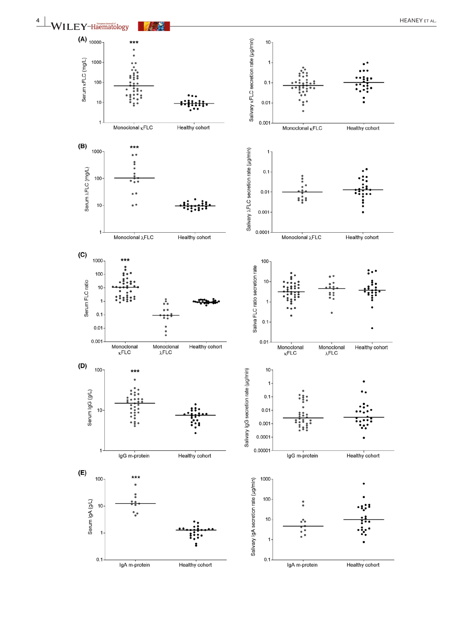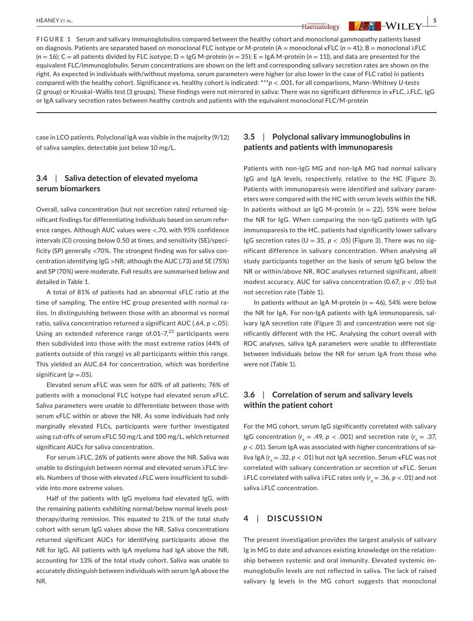**FIGURE 1** Serum and salivary immunoglobulins compared between the healthy cohort and monoclonal gammopathy patients based on diagnosis. Patients are separated based on monoclonal FLC isotype or M-protein (A = monoclonal κFLC (*n* = 41); B = monoclonal λFLC  $(n = 16)$ ; C = all patients divided by FLC isotype; D = IgG M-protein  $(n = 35)$ ; E = IgA M-protein  $(n = 11)$ ), and data are presented for the equivalent FLC/immunoglobulin. Serum concentrations are shown on the left and corresponding salivary secretion rates are shown on the right. As expected in individuals with/without myeloma, serum parameters were higher (or also lower in the case of FLC ratio) in patients compared with the healthy cohort. Significance vs. healthy cohort is indicated: \*\*\**p* < .001, for all comparisons, Mann–Whitney *U*-tests (2 group) or Kruskal–Wallis test (3 groups). These findings were not mirrored in saliva: There was no significant difference in κFLC, λFLC, IgG or IgA salivary secretion rates between healthy controls and patients with the equivalent monoclonal FLC/M-protein

case in LCO patients. Polyclonal IgA was visible in the majority (9/12) of saliva samples, detectable just below 10 mg/L.

#### **3.4**  | **Saliva detection of elevated myeloma serum biomarkers**

Overall, saliva concentration (but not secretion rates) returned significant findings for differentiating individuals based on serum reference ranges. Although AUC values were <.70, with 95% confidence intervals (CI) crossing below 0.50 at times, and sensitivity (SE)/specificity (SP) generally <70%. The strongest finding was for saliva concentration identifying IgG >NR; although the AUC (.73) and SE (75%) and SP (70%) were moderate. Full results are summarised below and detailed in Table 1.

A total of 81% of patients had an abnormal sFLC ratio at the time of sampling. The entire HC group presented with normal ratios. In distinguishing between those with an abnormal vs normal ratio, saliva concentration returned a significant AUC (.64, *p* <.05). Using an extended reference range of.01-7, $^{25}$  participants were then subdivided into those with the most extreme ratios (44% of patients outside of this range) vs all participants within this range. This yielded an AUC.64 for concentration, which was borderline significant ( $p = 0.05$ ).

Elevated serum κFLC was seen for 60% of all patients; 76% of patients with a monoclonal FLC isotype had elevated serum κFLC. Saliva parameters were unable to differentiate between those with serum κFLC within or above the NR. As some individuals had only marginally elevated FLCs, participants were further investigated using cut-offs of serum κFLC 50 mg/L and 100 mg/L, which returned significant AUCs for saliva concentration.

For serum λFLC, 26% of patients were above the NR. Saliva was unable to distinguish between normal and elevated serum λFLC levels. Numbers of those with elevated λFLC were insufficient to subdivide into more extreme values.

Half of the patients with IgG myeloma had elevated IgG, with the remaining patients exhibiting normal/below normal levels posttherapy/during remission. This equated to 21% of the total study cohort with serum IgG values above the NR. Saliva concentrations returned significant AUCs for identifying participants above the NR for IgG. All patients with IgA myeloma had IgA above the NR, accounting for 13% of the total study cohort. Saliva was unable to accurately distinguish between individuals with serum IgA above the NR.

#### **3.5**  | **Polyclonal salivary immunoglobulins in patients and patients with immunoparesis**

Patients with non-IgG MG and non-IgA MG had normal salivary IgG and IgA levels, respectively, relative to the HC (Figure 3). Patients with immunoparesis were identified and salivary parameters were compared with the HC with serum levels within the NR. In patients without an IgG M-protein (*n* = 22), 55% were below the NR for IgG. When comparing the non-IgG patients with IgG immunoparesis to the HC, patients had significantly lower salivary IgG secretion rates ( $U = 35$ ,  $p < .05$ ) (Figure 3). There was no significant difference in salivary concentration. When analysing all study participants together on the basis of serum IgG below the NR or within/above NR, ROC analyses returned significant, albeit modest accuracy, AUC for saliva concentration (0.67, *p* < .05) but not secretion rate (Table 1).

In patients without an IgA M-protein (*n* = 46), 54% were below the NR for IgA. For non-IgA patients with IgA immunoparesis, salivary IgA secretion rate (Figure 3) and concentration were not significantly different with the HC. Analysing the cohort overall with ROC analyses, saliva IgA parameters were unable to differentiate between individuals below the NR for serum IgA from those who were not (Table 1).

#### **3.6**  | **Correlation of serum and salivary levels within the patient cohort**

For the MG cohort, serum IgG significantly correlated with salivary IgG concentration  $(r_s = .49, p < .001)$  and secretion rate  $(r_s = .37,$ *p* < .01). Serum IgA was associated with higher concentrations of saliva IgA (*r<sub>s</sub>* = .32, *p* < .01) but not IgA secretion. Serum κFLC was not correlated with salivary concentration or secretion of κFLC. Serum λFLC correlated with saliva λFLC rates only  $(r<sub>s</sub> = .36, p < .01)$  and not saliva λFLC concentration.

#### **4**  | **DISCUSSION**

The present investigation provides the largest analysis of salivary Ig in MG to date and advances existing knowledge on the relationship between systemic and oral immunity. Elevated systemic immunoglobulin levels are not reflected in saliva. The lack of raised salivary Ig levels in the MG cohort suggests that monoclonal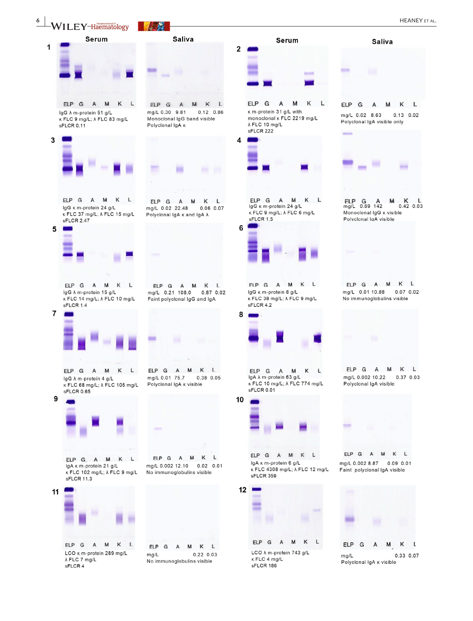**6 WII FY-Haematology 1999 1999 1999 1999 1999 1999 1999 1999 1999 1999 1999 1999 1999 1999 1999 1999 1999 1999 1999 1999 1999 1999 1999 1999 1999 1999 1999 1999**



IgG  $\lambda$  m-protein 51 g/L  $K$  FLC 9 mg/L;  $\lambda$  FLC 83 mg/L sFLCR 0.11



ELP G A M  $\mathsf{K}$  $\mathbf{L}$ IgG K m-protein 24 g/L κ FLC 37 mg/L; λ FLC 15 mg/L sFLCR 2.47



ELP G A M K L IgG  $\lambda$  m-protein 15 g/L  $K$  FLC 14 mg/L;  $\lambda$  FLC 10 mg/L sFLCR 14

 $\overline{7}$ 

9



ELP G A M K L IgG  $\lambda$  m-protein 4 g/L κ FLC 68 mg/L; λ FLC 105 mg/L sFLCR 0.65



ELP G A M K L IgA K m-protein 21 g/L κ FLC 102 mg/L; λ FLC 9 mg/L sFLCR 11.3



ELP G A M K L ma/L 0.21 108.0 0.87 0.02 Faint polyclonal IgG and IgA

**Saliva** 

ELP G A M K L

Monoclonal IgG band visible

ELP G A M K L

mg/L 0.02 22.48 0.06 0.07

Polyclonal lgA κ and lgA λ

 $0.12 \quad 0.86$ 

mg/L 0.30 9.81

Polyclonal IgA K



mg/L 0.01 75.7 0.38 0.05 Polyclonal IgA k visible



ELP G A M K L mg/L 0.002 12.10 0.02 0.01 No immunoglobulins visible





 $ELP$   $G$ A M K L κ m-protein 31 g/L with monoclonal k FLC 2219 mg/L  $\lambda$  FLC 10 mg/L sFLCR 222



ELP G A M к  $\mathbf{L}$ IgG K m-protein 24 g/L κ FLC 9 mg/L; λ FLC 6 mg/L sFLCR 1.5

6



FLP G A M K L IgG K m-protein 8 g/L κ FLC 38 mg/L; λ FLC 9 mg/L sFLCR 4.2



ELP G A M к L IgA  $\lambda$  m-protein 63 g/L κ FLC 10 mg/L; λ FLC 774 mg/L sFLCR 0.01



ELP G A M K L IgA K m-protein 6 g/L κ FLC 4308 mg/L; λ FLC 12 mg/L sFLCR 359



LCO  $\lambda$  m-protein 743 g/L κ FLC 4 mg/L sFLCR 186





ELP G A M K L mg/L 0.002 8.87 0.09 0.01 Faint polyclonal IgA visible



A  $mg/L$ 0.33 0.07 Polyclonal IgA **K** visible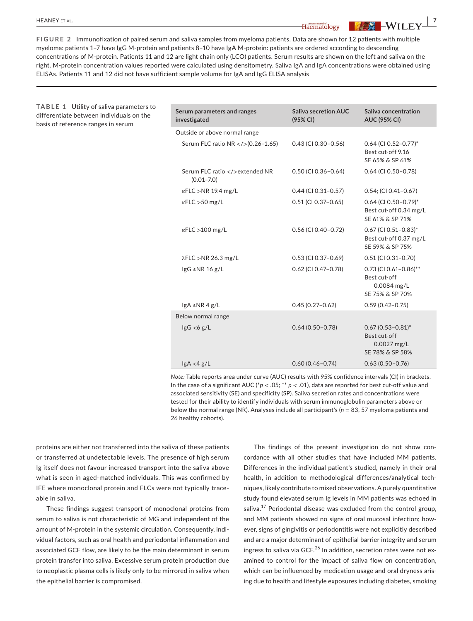**TABLE 1** Utility of saliva parameters to differentiate between individuals on the basis of reference ranges in serum

**FIGURE 2** Immunofixation of paired serum and saliva samples from myeloma patients. Data are shown for 12 patients with multiple myeloma: patients 1–7 have IgG M-protein and patients 8–10 have IgA M-protein: patients are ordered according to descending concentrations of M-protein. Patients 11 and 12 are light chain only (LCO) patients. Serum results are shown on the left and saliva on the right. M-protein concentration values reported were calculated using densitometry. Saliva IgA and IgA concentrations were obtained using ELISAs. Patients 11 and 12 did not have sufficient sample volume for IgA and IgG ELISA analysis

> **Serum parameters and ranges investigated Saliva secretion AUC (95% CI) Saliva concentration AUC (95% CI)** Outside or above normal range Serum FLC ratio NR </>(0.26-1.65) 0.43 (CI 0.30-0.56) 0.64 (CI 0.52-0.77)\* Best cut-off 9.16 SE 65% & SP 61% Serum FLC ratio </>></>>extended NR (0.01–7.0) 0.50 (CI 0.36–0.64) 0.64 (CI 0.50–0.78) κFLC >NR 19.4 mg/L 0.44 (CI 0.31–0.57) 0.54; (CI 0.41–0.67) κFLC >50 mg/L 0.51 (CI 0.37–0.65) 0.64 (CI 0.50–0.79)\* Best cut-off 0.34 mg/L SE 61% & SP 71% κFLC >100 mg/L 0.56 (CI 0.40–0.72) 0.67 (CI 0.51–0.83)\* Best cut-off 0.37 mg/L SE 59% & SP 75% λFLC >NR 26.3 mg/L 0.53 (CI 0.37–0.69) 0.51 (CI 0.31–0.70) IgG ≥NR 16 g/L 0.62 (CI 0.62 (CI 0.47–0.78) 0.73 (CI 0.61–0.86)<sup>\*\*</sup> Best cut-off 0.0084 mg/L SE 75% & SP 70% IgA ≥NR 4 g/L 0.45 (0.27–0.62) 0.59 (0.42–0.75) Below normal range  $\lg G \lt 6 g/L$  0.64 (0.50–0.78) 0.67 (0.53–0.81)\* Best cut-off 0.0027 mg/L SE 78% & SP 58% IgA <4 g/L 0.60 (0.46–0.74) 0.63 (0.50–0.76)

> *Note:* Table reports area under curve (AUC) results with 95% confidence intervals (CI) in brackets. In the case of a significant AUC ( $p$  < .05;  $* p$  < .01), data are reported for best cut-off value and associated sensitivity (SE) and specificity (SP). Saliva secretion rates and concentrations were tested for their ability to identify individuals with serum immunoglobulin parameters above or below the normal range (NR). Analyses include all participant's (*n* = 83, 57 myeloma patients and 26 healthy cohorts).

proteins are either not transferred into the saliva of these patients or transferred at undetectable levels. The presence of high serum Ig itself does not favour increased transport into the saliva above what is seen in aged-matched individuals. This was confirmed by IFE where monoclonal protein and FLCs were not typically traceable in saliva.

These findings suggest transport of monoclonal proteins from serum to saliva is not characteristic of MG and independent of the amount of M-protein in the systemic circulation. Consequently, individual factors, such as oral health and periodontal inflammation and associated GCF flow, are likely to be the main determinant in serum protein transfer into saliva. Excessive serum protein production due to neoplastic plasma cells is likely only to be mirrored in saliva when the epithelial barrier is compromised.

The findings of the present investigation do not show concordance with all other studies that have included MM patients. Differences in the individual patient's studied, namely in their oral health, in addition to methodological differences/analytical techniques, likely contribute to mixed observations. A purely quantitative study found elevated serum Ig levels in MM patients was echoed in saliva. $^{17}$  Periodontal disease was excluded from the control group, and MM patients showed no signs of oral mucosal infection; however, signs of gingivitis or periodontitis were not explicitly described and are a major determinant of epithelial barrier integrity and serum ingress to saliva via GCF.<sup>26</sup> In addition, secretion rates were not examined to control for the impact of saliva flow on concentration, which can be influenced by medication usage and oral dryness arising due to health and lifestyle exposures including diabetes, smoking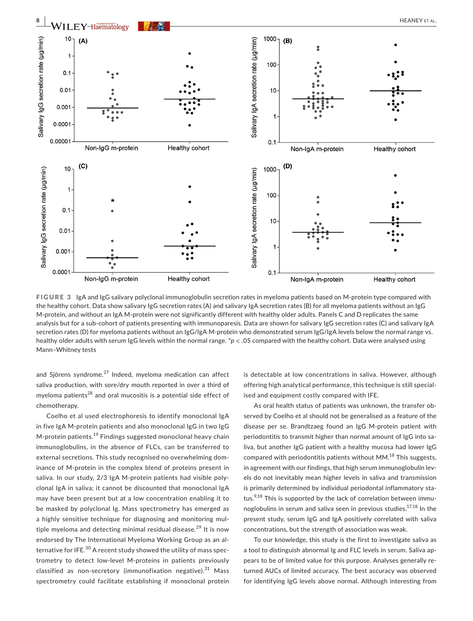

**FIGURE 3** IgA and IgG salivary polyclonal immunoglobulin secretion rates in myeloma patients based on M-protein type compared with the healthy cohort. Data show salivary IgG secretion rates (A) and salivary IgA secretion rates (B) for all myeloma patients without an IgG M-protein, and without an IgA M-protein were not significantly different with healthy older adults. Panels C and D replicates the same analysis but for a sub-cohort of patients presenting with immunoparesis. Data are shown for salivary IgG secretion rates (C) and salivary IgA secretion rates (D) for myeloma patients without an IgG/IgA M-protein who demonstrated serum IgG/IgA levels below the normal range vs. healthy older adults with serum IgG levels within the normal range. \**p* < .05 compared with the healthy cohort. Data were analysed using Mann–Whitney tests

and Sjörens syndrome.<sup>27</sup> Indeed, myeloma medication can affect saliva production, with sore/dry mouth reported in over a third of myeloma patients<sup>28</sup> and oral mucositis is a potential side effect of chemotherapy.

Coelho et al used electrophoresis to identify monoclonal IgA in five IgA M-protein patients and also monoclonal IgG in two IgG M-protein patients.19 Findings suggested monoclonal heavy chain immunoglobulins, in the absence of FLCs, can be transferred to external secretions. This study recognised no overwhelming dominance of M-protein in the complex blend of proteins present in saliva. In our study, 2/3 IgA M-protein patients had visible polyclonal IgA in saliva; it cannot be discounted that monoclonal IgA may have been present but at a low concentration enabling it to be masked by polyclonal Ig. Mass spectrometry has emerged as a highly sensitive technique for diagnosing and monitoring multiple myeloma and detecting minimal residual disease.<sup>29</sup> It is now endorsed by The International Myeloma Working Group as an alternative for IFE.<sup>30</sup> A recent study showed the utility of mass spectrometry to detect low-level M-proteins in patients previously classified as non-secretory (immunofixation negative).<sup>31</sup> Mass spectrometry could facilitate establishing if monoclonal protein

is detectable at low concentrations in saliva. However, although offering high analytical performance, this technique is still specialised and equipment costly compared with IFE.

As oral health status of patients was unknown, the transfer observed by Coelho et al should not be generalised as a feature of the disease per se. Brandtzaeg found an IgG M-protein patient with periodontitis to transmit higher than normal amount of IgG into saliva, but another IgG patient with a healthy mucosa had lower IgG compared with periodontitis patients without  $MM<sup>18</sup>$  This suggests, in agreement with our findings, that high serum immunoglobulin levels do not inevitably mean higher levels in saliva and transmission is primarily determined by individual periodontal inflammatory status. $9,18$  This is supported by the lack of correlation between immunoglobulins in serum and saliva seen in previous studies.<sup>17,18</sup> In the present study, serum IgG and IgA positively correlated with saliva concentrations, but the strength of association was weak.

To our knowledge, this study is the first to investigate saliva as a tool to distinguish abnormal Ig and FLC levels in serum. Saliva appears to be of limited value for this purpose. Analyses generally returned AUCs of limited accuracy. The best accuracy was observed for identifying IgG levels above normal. Although interesting from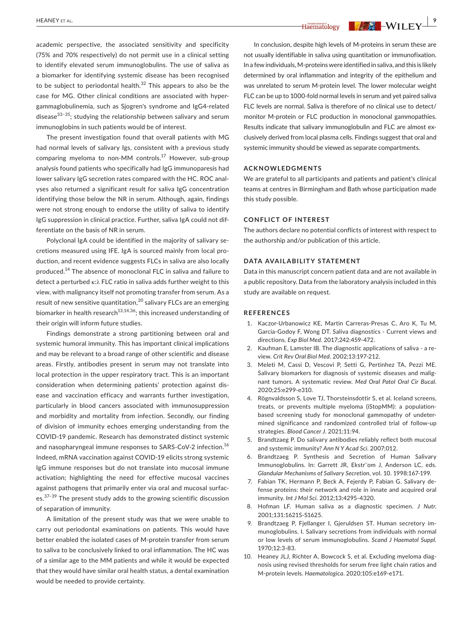academic perspective, the associated sensitivity and specificity (75% and 70% respectively) do not permit use in a clinical setting to identify elevated serum immunoglobulins. The use of saliva as a biomarker for identifying systemic disease has been recognised to be subject to periodontal health. $32$  This appears to also be the case for MG. Other clinical conditions are associated with hypergammaglobulinemia, such as Sjogren's syndrome and IgG4-related disease $33-35$ ; studying the relationship between salivary and serum immunoglobins in such patients would be of interest.

The present investigation found that overall patients with MG had normal levels of salivary Igs, consistent with a previous study comparing myeloma to non-MM controls.<sup>17</sup> However, sub-group analysis found patients who specifically had IgG immunoparesis had lower salivary IgG secretion rates compared with the HC. ROC analyses also returned a significant result for saliva IgG concentration identifying those below the NR in serum. Although, again, findings were not strong enough to endorse the utility of saliva to identify IgG suppression in clinical practice. Further, saliva IgA could not differentiate on the basis of NR in serum.

Polyclonal IgA could be identified in the majority of salivary secretions measured using IFE. IgA is sourced mainly from local production, and recent evidence suggests FLCs in saliva are also locally produced.14 The absence of monoclonal FLC in saliva and failure to detect a perturbed κ:λ FLC ratio in saliva adds further weight to this view, with malignancy itself not promoting transfer from serum. As a result of new sensitive quantitation, <sup>20</sup> salivary FLCs are an emerging biomarker in health research<sup>13,14,36</sup>; this increased understanding of their origin will inform future studies.

Findings demonstrate a strong partitioning between oral and systemic humoral immunity. This has important clinical implications and may be relevant to a broad range of other scientific and disease areas. Firstly, antibodies present in serum may not translate into local protection in the upper respiratory tract. This is an important consideration when determining patients' protection against disease and vaccination efficacy and warrants further investigation, particularly in blood cancers associated with immunosuppression and morbidity and mortality from infection. Secondly, our finding of division of immunity echoes emerging understanding from the COVID-19 pandemic. Research has demonstrated distinct systemic and nasopharyngeal immune responses to SARS-CoV-2 infection.<sup>16</sup> Indeed, mRNA vaccination against COVID-19 elicits strong systemic IgG immune responses but do not translate into mucosal immune activation; highlighting the need for effective mucosal vaccines against pathogens that primarily enter via oral and mucosal surfaces.<sup>37-39</sup> The present study adds to the growing scientific discussion of separation of immunity.

A limitation of the present study was that we were unable to carry out periodontal examinations on patients. This would have better enabled the isolated cases of M-protein transfer from serum to saliva to be conclusively linked to oral inflammation. The HC was of a similar age to the MM patients and while it would be expected that they would have similar oral health status, a dental examination would be needed to provide certainty.

In conclusion, despite high levels of M-proteins in serum these are not usually identifiable in saliva using quantitation or immunofixation. In a few individuals, M-proteins were identified in saliva, and this is likely determined by oral inflammation and integrity of the epithelium and was unrelated to serum M-protein level. The lower molecular weight FLC can be up to 1000-fold normal levels in serum and yet paired saliva FLC levels are normal. Saliva is therefore of no clinical use to detect/ monitor M-protein or FLC production in monoclonal gammopathies. Results indicate that salivary immunoglobulin and FLC are almost exclusively derived from local plasma cells. Findings suggest that oral and systemic immunity should be viewed as separate compartments.

#### **ACKNOWLEDGMENTS**

We are grateful to all participants and patients and patient's clinical teams at centres in Birmingham and Bath whose participation made this study possible.

#### **CONFLICT OF INTEREST**

The authors declare no potential conflicts of interest with respect to the authorship and/or publication of this article.

#### **DATA AVAILABILITY STATEMENT**

Data in this manuscript concern patient data and are not available in a public repository. Data from the laboratory analysis included in this study are available on request.

#### **REFERENCES**

- 1. Kaczor-Urbanowicz KE, Martin Carreras-Presas C, Aro K, Tu M, Garcia-Godoy F, Wong DT. Saliva diagnostics - Current views and directions. *Exp Biol Med*. 2017;242:459-472.
- 2. Kaufman E, Lamster IB. The diagnostic applications of saliva a review. *Crit Rev Oral Biol Med*. 2002;13:197-212.
- 3. Meleti M, Cassi D, Vescovi P, Setti G, Pertinhez TA, Pezzi ME. Salivary biomarkers for diagnosis of systemic diseases and malignant tumors. A systematic review. *Med Oral Patol Oral Cir Bucal*. 2020;25:e299-e310.
- 4. Rögnvaldsson S, Love TJ, Thorsteinsdottir S, et al. Iceland screens, treats, or prevents multiple myeloma (iStopMM): a populationbased screening study for monoclonal gammopathy of undetermined significance and randomized controlled trial of follow-up strategies. *Blood Cancer J*. 2021;11:94.
- 5. Brandtzaeg P. Do salivary antibodies reliably reflect both mucosal and systemic immunity? *Ann N Y Acad Sci*. 2007;012.
- 6. Brandtzaeg P. Synthesis and Secretion of Human Salivary Immunoglobulins. In: Garrett JR, Ekstr¨om J, Anderson LC, eds. *Glandular Mechanisms of Salivary Secretion*, vol. 10. 1998:167-199.
- 7. Fabian TK, Hermann P, Beck A, Fejerdy P, Fabian G. Salivary defense proteins: their network and role in innate and acquired oral immunity. *Int J Mol Sci*. 2012;13:4295-4320.
- 8. Hofman LF. Human saliva as a diagnostic specimen. *J Nutr*. 2001;131:1621S-S1625.
- 9. Brandtzaeg P, Fjellanger I, Gjeruldsen ST. Human secretory immunoglobulins. I. Salivary secretions from individuals with normal or low levels of serum immunoglobulins. *Scand J Haematol Suppl*. 1970;12:3-83.
- 10. Heaney JLJ, Richter A, Bowcock S, et al. Excluding myeloma diagnosis using revised thresholds for serum free light chain ratios and M-protein levels. *Haematologica*. 2020;105:e169-e171.